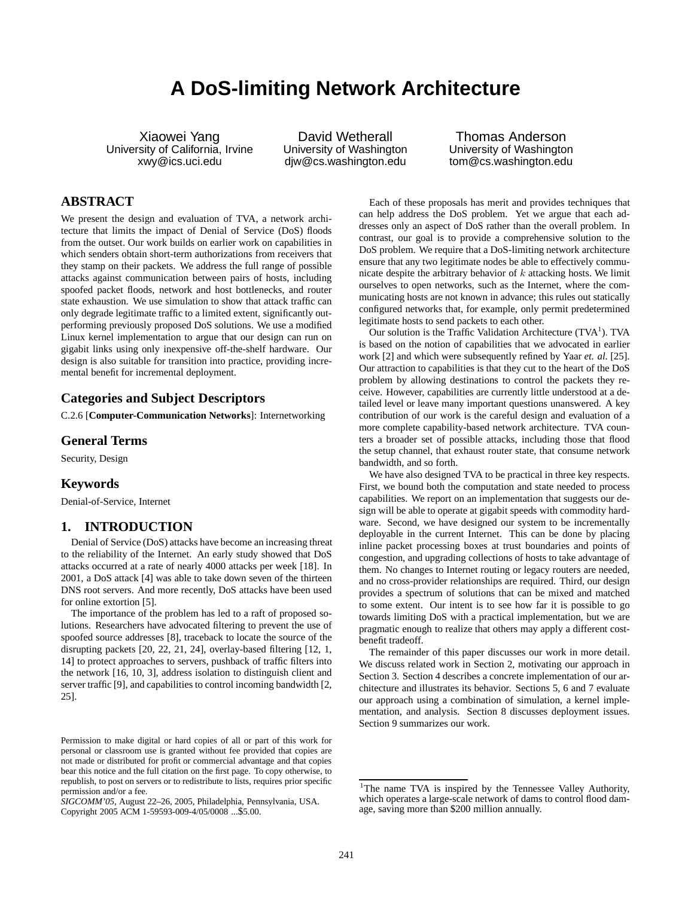# **A DoS-limiting Network Architecture**

Xiaowei Yang University of California, Irvine xwy@ics.uci.edu

David Wetherall University of Washington djw@cs.washington.edu

Thomas Anderson University of Washington tom@cs.washington.edu

# **ABSTRACT**

We present the design and evaluation of TVA, a network architecture that limits the impact of Denial of Service (DoS) floods from the outset. Our work builds on earlier work on capabilities in which senders obtain short-term authorizations from receivers that they stamp on their packets. We address the full range of possible attacks against communication between pairs of hosts, including spoofed packet floods, network and host bottlenecks, and router state exhaustion. We use simulation to show that attack traffic can only degrade legitimate traffic to a limited extent, significantly outperforming previously proposed DoS solutions. We use a modified Linux kernel implementation to argue that our design can run on gigabit links using only inexpensive off-the-shelf hardware. Our design is also suitable for transition into practice, providing incremental benefit for incremental deployment.

# **Categories and Subject Descriptors**

C.2.6 [**Computer-Communication Networks**]: Internetworking

### **General Terms**

Security, Design

### **Keywords**

Denial-of-Service, Internet

### **1. INTRODUCTION**

Denial of Service (DoS) attacks have become an increasing threat to the reliability of the Internet. An early study showed that DoS attacks occurred at a rate of nearly 4000 attacks per week [18]. In 2001, a DoS attack [4] was able to take down seven of the thirteen DNS root servers. And more recently, DoS attacks have been used for online extortion [5].

The importance of the problem has led to a raft of proposed solutions. Researchers have advocated filtering to prevent the use of spoofed source addresses [8], traceback to locate the source of the disrupting packets [20, 22, 21, 24], overlay-based filtering [12, 1, 14] to protect approaches to servers, pushback of traffic filters into the network [16, 10, 3], address isolation to distinguish client and server traffic [9], and capabilities to control incoming bandwidth [2, 25].

*SIGCOMM'05,* August 22–26, 2005, Philadelphia, Pennsylvania, USA. Copyright 2005 ACM 1-59593-009-4/05/0008 ...\$5.00.

Each of these proposals has merit and provides techniques that can help address the DoS problem. Yet we argue that each addresses only an aspect of DoS rather than the overall problem. In contrast, our goal is to provide a comprehensive solution to the DoS problem. We require that a DoS-limiting network architecture ensure that any two legitimate nodes be able to effectively communicate despite the arbitrary behavior of  $k$  attacking hosts. We limit ourselves to open networks, such as the Internet, where the communicating hosts are not known in advance; this rules out statically configured networks that, for example, only permit predetermined legitimate hosts to send packets to each other.

Our solution is the Traffic Validation Architecture (TVA<sup>1</sup>). TVA is based on the notion of capabilities that we advocated in earlier work [2] and which were subsequently refined by Yaar *et. al.* [25]. Our attraction to capabilities is that they cut to the heart of the DoS problem by allowing destinations to control the packets they receive. However, capabilities are currently little understood at a detailed level or leave many important questions unanswered. A key contribution of our work is the careful design and evaluation of a more complete capability-based network architecture. TVA counters a broader set of possible attacks, including those that flood the setup channel, that exhaust router state, that consume network bandwidth, and so forth.

We have also designed TVA to be practical in three key respects. First, we bound both the computation and state needed to process capabilities. We report on an implementation that suggests our design will be able to operate at gigabit speeds with commodity hardware. Second, we have designed our system to be incrementally deployable in the current Internet. This can be done by placing inline packet processing boxes at trust boundaries and points of congestion, and upgrading collections of hosts to take advantage of them. No changes to Internet routing or legacy routers are needed, and no cross-provider relationships are required. Third, our design provides a spectrum of solutions that can be mixed and matched to some extent. Our intent is to see how far it is possible to go towards limiting DoS with a practical implementation, but we are pragmatic enough to realize that others may apply a different costbenefit tradeoff.

The remainder of this paper discusses our work in more detail. We discuss related work in Section 2, motivating our approach in Section 3. Section 4 describes a concrete implementation of our architecture and illustrates its behavior. Sections 5, 6 and 7 evaluate our approach using a combination of simulation, a kernel implementation, and analysis. Section 8 discusses deployment issues. Section 9 summarizes our work.

Permission to make digital or hard copies of all or part of this work for personal or classroom use is granted without fee provided that copies are not made or distributed for profit or commercial advantage and that copies bear this notice and the full citation on the first page. To copy otherwise, to republish, to post on servers or to redistribute to lists, requires prior specific permission and/or a fee.

<sup>&</sup>lt;sup>1</sup>The name TVA is inspired by the Tennessee Valley Authority, which operates a large-scale network of dams to control flood damage, saving more than \$200 million annually.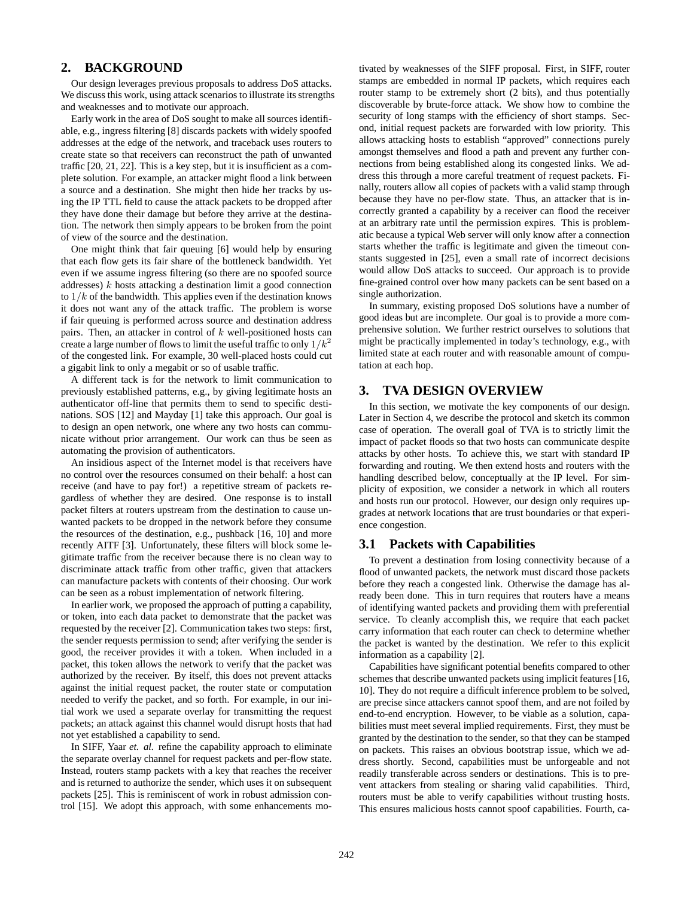# **2. BACKGROUND**

Our design leverages previous proposals to address DoS attacks. We discuss this work, using attack scenarios to illustrate its strengths and weaknesses and to motivate our approach.

Early work in the area of DoS sought to make all sources identifiable, e.g., ingress filtering [8] discards packets with widely spoofed addresses at the edge of the network, and traceback uses routers to create state so that receivers can reconstruct the path of unwanted traffic [20, 21, 22]. This is a key step, but it is insufficient as a complete solution. For example, an attacker might flood a link between a source and a destination. She might then hide her tracks by using the IP TTL field to cause the attack packets to be dropped after they have done their damage but before they arrive at the destination. The network then simply appears to be broken from the point of view of the source and the destination.

One might think that fair queuing [6] would help by ensuring that each flow gets its fair share of the bottleneck bandwidth. Yet even if we assume ingress filtering (so there are no spoofed source addresses)  $k$  hosts attacking a destination limit a good connection to  $1/k$  of the bandwidth. This applies even if the destination knows it does not want any of the attack traffic. The problem is worse if fair queuing is performed across source and destination address pairs. Then, an attacker in control of k well-positioned hosts can create a large number of flows to limit the useful traffic to only  $1/k<sup>2</sup>$ of the congested link. For example, 30 well-placed hosts could cut a gigabit link to only a megabit or so of usable traffic.

A different tack is for the network to limit communication to previously established patterns, e.g., by giving legitimate hosts an authenticator off-line that permits them to send to specific destinations. SOS [12] and Mayday [1] take this approach. Our goal is to design an open network, one where any two hosts can communicate without prior arrangement. Our work can thus be seen as automating the provision of authenticators.

An insidious aspect of the Internet model is that receivers have no control over the resources consumed on their behalf: a host can receive (and have to pay for!) a repetitive stream of packets regardless of whether they are desired. One response is to install packet filters at routers upstream from the destination to cause unwanted packets to be dropped in the network before they consume the resources of the destination, e.g., pushback [16, 10] and more recently AITF [3]. Unfortunately, these filters will block some legitimate traffic from the receiver because there is no clean way to discriminate attack traffic from other traffic, given that attackers can manufacture packets with contents of their choosing. Our work can be seen as a robust implementation of network filtering.

In earlier work, we proposed the approach of putting a capability, or token, into each data packet to demonstrate that the packet was requested by the receiver [2]. Communication takes two steps: first, the sender requests permission to send; after verifying the sender is good, the receiver provides it with a token. When included in a packet, this token allows the network to verify that the packet was authorized by the receiver. By itself, this does not prevent attacks against the initial request packet, the router state or computation needed to verify the packet, and so forth. For example, in our initial work we used a separate overlay for transmitting the request packets; an attack against this channel would disrupt hosts that had not yet established a capability to send.

In SIFF, Yaar *et. al.* refine the capability approach to eliminate the separate overlay channel for request packets and per-flow state. Instead, routers stamp packets with a key that reaches the receiver and is returned to authorize the sender, which uses it on subsequent packets [25]. This is reminiscent of work in robust admission control [15]. We adopt this approach, with some enhancements motivated by weaknesses of the SIFF proposal. First, in SIFF, router stamps are embedded in normal IP packets, which requires each router stamp to be extremely short (2 bits), and thus potentially discoverable by brute-force attack. We show how to combine the security of long stamps with the efficiency of short stamps. Second, initial request packets are forwarded with low priority. This allows attacking hosts to establish "approved" connections purely amongst themselves and flood a path and prevent any further connections from being established along its congested links. We address this through a more careful treatment of request packets. Finally, routers allow all copies of packets with a valid stamp through because they have no per-flow state. Thus, an attacker that is incorrectly granted a capability by a receiver can flood the receiver at an arbitrary rate until the permission expires. This is problematic because a typical Web server will only know after a connection starts whether the traffic is legitimate and given the timeout constants suggested in [25], even a small rate of incorrect decisions would allow DoS attacks to succeed. Our approach is to provide fine-grained control over how many packets can be sent based on a single authorization.

In summary, existing proposed DoS solutions have a number of good ideas but are incomplete. Our goal is to provide a more comprehensive solution. We further restrict ourselves to solutions that might be practically implemented in today's technology, e.g., with limited state at each router and with reasonable amount of computation at each hop.

# **3. TVA DESIGN OVERVIEW**

In this section, we motivate the key components of our design. Later in Section 4, we describe the protocol and sketch its common case of operation. The overall goal of TVA is to strictly limit the impact of packet floods so that two hosts can communicate despite attacks by other hosts. To achieve this, we start with standard IP forwarding and routing. We then extend hosts and routers with the handling described below, conceptually at the IP level. For simplicity of exposition, we consider a network in which all routers and hosts run our protocol. However, our design only requires upgrades at network locations that are trust boundaries or that experience congestion.

# **3.1 Packets with Capabilities**

To prevent a destination from losing connectivity because of a flood of unwanted packets, the network must discard those packets before they reach a congested link. Otherwise the damage has already been done. This in turn requires that routers have a means of identifying wanted packets and providing them with preferential service. To cleanly accomplish this, we require that each packet carry information that each router can check to determine whether the packet is wanted by the destination. We refer to this explicit information as a capability [2].

Capabilities have significant potential benefits compared to other schemes that describe unwanted packets using implicit features [16, 10]. They do not require a difficult inference problem to be solved, are precise since attackers cannot spoof them, and are not foiled by end-to-end encryption. However, to be viable as a solution, capabilities must meet several implied requirements. First, they must be granted by the destination to the sender, so that they can be stamped on packets. This raises an obvious bootstrap issue, which we address shortly. Second, capabilities must be unforgeable and not readily transferable across senders or destinations. This is to prevent attackers from stealing or sharing valid capabilities. Third, routers must be able to verify capabilities without trusting hosts. This ensures malicious hosts cannot spoof capabilities. Fourth, ca-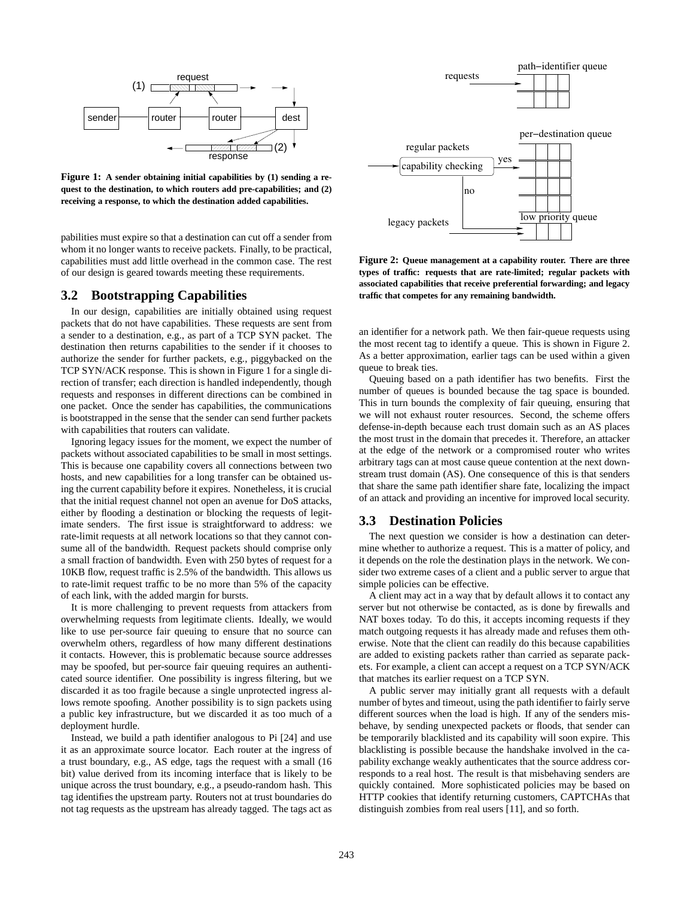

**Figure 1: A sender obtaining initial capabilities by (1) sending a request to the destination, to which routers add pre-capabilities; and (2) receiving a response, to which the destination added capabilities.**

pabilities must expire so that a destination can cut off a sender from whom it no longer wants to receive packets. Finally, to be practical, capabilities must add little overhead in the common case. The rest of our design is geared towards meeting these requirements.

## **3.2 Bootstrapping Capabilities**

In our design, capabilities are initially obtained using request packets that do not have capabilities. These requests are sent from a sender to a destination, e.g., as part of a TCP SYN packet. The destination then returns capabilities to the sender if it chooses to authorize the sender for further packets, e.g., piggybacked on the TCP SYN/ACK response. This is shown in Figure 1 for a single direction of transfer; each direction is handled independently, though requests and responses in different directions can be combined in one packet. Once the sender has capabilities, the communications is bootstrapped in the sense that the sender can send further packets with capabilities that routers can validate.

Ignoring legacy issues for the moment, we expect the number of packets without associated capabilities to be small in most settings. This is because one capability covers all connections between two hosts, and new capabilities for a long transfer can be obtained using the current capability before it expires. Nonetheless, it is crucial that the initial request channel not open an avenue for DoS attacks, either by flooding a destination or blocking the requests of legitimate senders. The first issue is straightforward to address: we rate-limit requests at all network locations so that they cannot consume all of the bandwidth. Request packets should comprise only a small fraction of bandwidth. Even with 250 bytes of request for a 10KB flow, request traffic is 2.5% of the bandwidth. This allows us to rate-limit request traffic to be no more than 5% of the capacity of each link, with the added margin for bursts.

It is more challenging to prevent requests from attackers from overwhelming requests from legitimate clients. Ideally, we would like to use per-source fair queuing to ensure that no source can overwhelm others, regardless of how many different destinations it contacts. However, this is problematic because source addresses may be spoofed, but per-source fair queuing requires an authenticated source identifier. One possibility is ingress filtering, but we discarded it as too fragile because a single unprotected ingress allows remote spoofing. Another possibility is to sign packets using a public key infrastructure, but we discarded it as too much of a deployment hurdle.

Instead, we build a path identifier analogous to Pi [24] and use it as an approximate source locator. Each router at the ingress of a trust boundary, e.g., AS edge, tags the request with a small (16 bit) value derived from its incoming interface that is likely to be unique across the trust boundary, e.g., a pseudo-random hash. This tag identifies the upstream party. Routers not at trust boundaries do not tag requests as the upstream has already tagged. The tags act as



**Figure 2: Queue management at a capability router. There are three types of traffic: requests that are rate-limited; regular packets with associated capabilities that receive preferential forwarding; and legacy traffic that competes for any remaining bandwidth.**

an identifier for a network path. We then fair-queue requests using the most recent tag to identify a queue. This is shown in Figure 2. As a better approximation, earlier tags can be used within a given queue to break ties.

Queuing based on a path identifier has two benefits. First the number of queues is bounded because the tag space is bounded. This in turn bounds the complexity of fair queuing, ensuring that we will not exhaust router resources. Second, the scheme offers defense-in-depth because each trust domain such as an AS places the most trust in the domain that precedes it. Therefore, an attacker at the edge of the network or a compromised router who writes arbitrary tags can at most cause queue contention at the next downstream trust domain (AS). One consequence of this is that senders that share the same path identifier share fate, localizing the impact of an attack and providing an incentive for improved local security.

### **3.3 Destination Policies**

The next question we consider is how a destination can determine whether to authorize a request. This is a matter of policy, and it depends on the role the destination plays in the network. We consider two extreme cases of a client and a public server to argue that simple policies can be effective.

A client may act in a way that by default allows it to contact any server but not otherwise be contacted, as is done by firewalls and NAT boxes today. To do this, it accepts incoming requests if they match outgoing requests it has already made and refuses them otherwise. Note that the client can readily do this because capabilities are added to existing packets rather than carried as separate packets. For example, a client can accept a request on a TCP SYN/ACK that matches its earlier request on a TCP SYN.

A public server may initially grant all requests with a default number of bytes and timeout, using the path identifier to fairly serve different sources when the load is high. If any of the senders misbehave, by sending unexpected packets or floods, that sender can be temporarily blacklisted and its capability will soon expire. This blacklisting is possible because the handshake involved in the capability exchange weakly authenticates that the source address corresponds to a real host. The result is that misbehaving senders are quickly contained. More sophisticated policies may be based on HTTP cookies that identify returning customers, CAPTCHAs that distinguish zombies from real users [11], and so forth.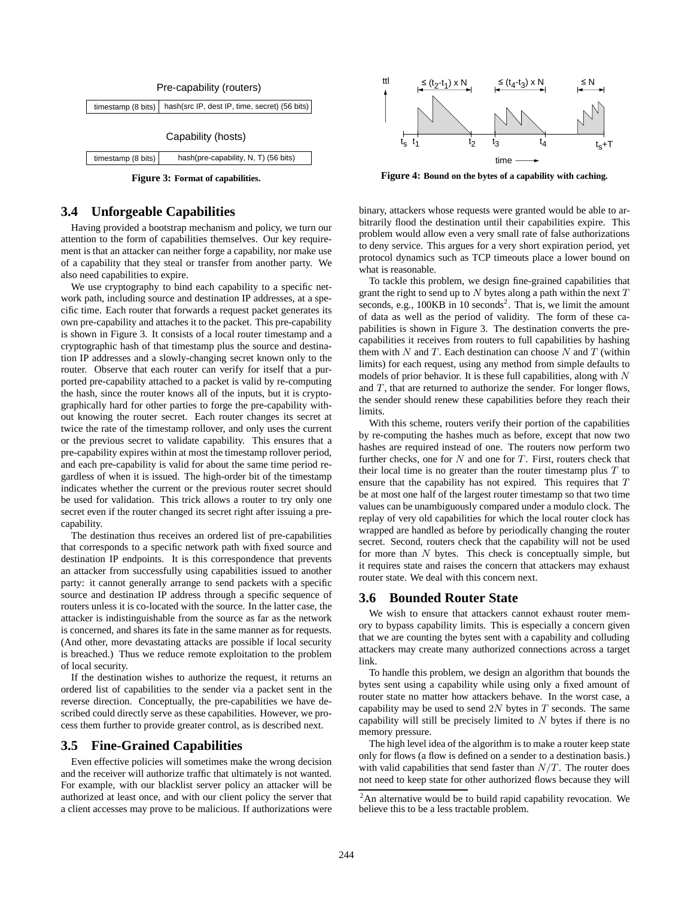

# **3.4 Unforgeable Capabilities**

Having provided a bootstrap mechanism and policy, we turn our attention to the form of capabilities themselves. Our key requirement is that an attacker can neither forge a capability, nor make use of a capability that they steal or transfer from another party. We also need capabilities to expire.

We use cryptography to bind each capability to a specific network path, including source and destination IP addresses, at a specific time. Each router that forwards a request packet generates its own pre-capability and attaches it to the packet. This pre-capability is shown in Figure 3. It consists of a local router timestamp and a cryptographic hash of that timestamp plus the source and destination IP addresses and a slowly-changing secret known only to the router. Observe that each router can verify for itself that a purported pre-capability attached to a packet is valid by re-computing the hash, since the router knows all of the inputs, but it is cryptographically hard for other parties to forge the pre-capability without knowing the router secret. Each router changes its secret at twice the rate of the timestamp rollover, and only uses the current or the previous secret to validate capability. This ensures that a pre-capability expires within at most the timestamp rollover period, and each pre-capability is valid for about the same time period regardless of when it is issued. The high-order bit of the timestamp indicates whether the current or the previous router secret should be used for validation. This trick allows a router to try only one secret even if the router changed its secret right after issuing a precapability.

The destination thus receives an ordered list of pre-capabilities that corresponds to a specific network path with fixed source and destination IP endpoints. It is this correspondence that prevents an attacker from successfully using capabilities issued to another party: it cannot generally arrange to send packets with a specific source and destination IP address through a specific sequence of routers unless it is co-located with the source. In the latter case, the attacker is indistinguishable from the source as far as the network is concerned, and shares its fate in the same manner as for requests. (And other, more devastating attacks are possible if local security is breached.) Thus we reduce remote exploitation to the problem of local security.

If the destination wishes to authorize the request, it returns an ordered list of capabilities to the sender via a packet sent in the reverse direction. Conceptually, the pre-capabilities we have described could directly serve as these capabilities. However, we process them further to provide greater control, as is described next.

# **3.5 Fine-Grained Capabilities**

Even effective policies will sometimes make the wrong decision and the receiver will authorize traffic that ultimately is not wanted. For example, with our blacklist server policy an attacker will be authorized at least once, and with our client policy the server that a client accesses may prove to be malicious. If authorizations were



**Figure 4: Bound on the bytes of a capability with caching.**

binary, attackers whose requests were granted would be able to arbitrarily flood the destination until their capabilities expire. This problem would allow even a very small rate of false authorizations to deny service. This argues for a very short expiration period, yet protocol dynamics such as TCP timeouts place a lower bound on what is reasonable.

To tackle this problem, we design fine-grained capabilities that grant the right to send up to  $N$  bytes along a path within the next  $T$ seconds, e.g.,  $100KB$  in 10 seconds<sup>2</sup>. That is, we limit the amount of data as well as the period of validity. The form of these capabilities is shown in Figure 3. The destination converts the precapabilities it receives from routers to full capabilities by hashing them with  $N$  and  $T$ . Each destination can choose  $N$  and  $T$  (within limits) for each request, using any method from simple defaults to models of prior behavior. It is these full capabilities, along with  $N$ and  $T$ , that are returned to authorize the sender. For longer flows, the sender should renew these capabilities before they reach their limits.

With this scheme, routers verify their portion of the capabilities by re-computing the hashes much as before, except that now two hashes are required instead of one. The routers now perform two further checks, one for  $N$  and one for  $T$ . First, routers check that their local time is no greater than the router timestamp plus  $T$  to ensure that the capability has not expired. This requires that T be at most one half of the largest router timestamp so that two time values can be unambiguously compared under a modulo clock. The replay of very old capabilities for which the local router clock has wrapped are handled as before by periodically changing the router secret. Second, routers check that the capability will not be used for more than  $N$  bytes. This check is conceptually simple, but it requires state and raises the concern that attackers may exhaust router state. We deal with this concern next.

# **3.6 Bounded Router State**

We wish to ensure that attackers cannot exhaust router memory to bypass capability limits. This is especially a concern given that we are counting the bytes sent with a capability and colluding attackers may create many authorized connections across a target link.

To handle this problem, we design an algorithm that bounds the bytes sent using a capability while using only a fixed amount of router state no matter how attackers behave. In the worst case, a capability may be used to send  $2N$  bytes in T seconds. The same capability will still be precisely limited to  $N$  bytes if there is no memory pressure.

The high level idea of the algorithm is to make a router keep state only for flows (a flow is defined on a sender to a destination basis.) with valid capabilities that send faster than  $N/T$ . The router does not need to keep state for other authorized flows because they will

 $2$ An alternative would be to build rapid capability revocation. We believe this to be a less tractable problem.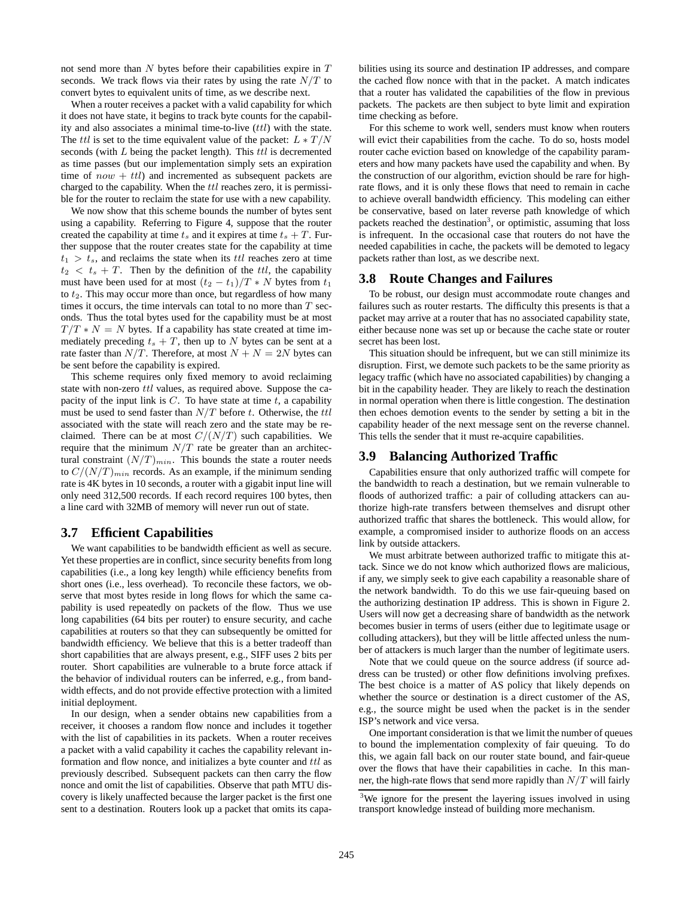not send more than  $N$  bytes before their capabilities expire in  $T$ seconds. We track flows via their rates by using the rate  $N/T$  to convert bytes to equivalent units of time, as we describe next.

When a router receives a packet with a valid capability for which it does not have state, it begins to track byte counts for the capability and also associates a minimal time-to-live (ttl) with the state. The ttl is set to the time equivalent value of the packet:  $L * T/N$ seconds (with  $L$  being the packet length). This  $ttl$  is decremented as time passes (but our implementation simply sets an expiration time of  $now + ttl$ ) and incremented as subsequent packets are charged to the capability. When the ttl reaches zero, it is permissible for the router to reclaim the state for use with a new capability.

We now show that this scheme bounds the number of bytes sent using a capability. Referring to Figure 4, suppose that the router created the capability at time  $t_s$  and it expires at time  $t_s + T$ . Further suppose that the router creates state for the capability at time  $t_1 > t_s$ , and reclaims the state when its ttl reaches zero at time  $t_2 < t_s + T$ . Then by the definition of the *ttl*, the capability must have been used for at most  $(t_2 - t_1)/T \times N$  bytes from  $t_1$ to  $t_2$ . This may occur more than once, but regardless of how many times it occurs, the time intervals can total to no more than  $T$  seconds. Thus the total bytes used for the capability must be at most  $T/T \times N = N$  bytes. If a capability has state created at time immediately preceding  $t_s + T$ , then up to N bytes can be sent at a rate faster than  $N/T$ . Therefore, at most  $N + N = 2N$  bytes can be sent before the capability is expired.

This scheme requires only fixed memory to avoid reclaiming state with non-zero *ttl* values, as required above. Suppose the capacity of the input link is  $C$ . To have state at time  $t$ , a capability must be used to send faster than  $N/T$  before t. Otherwise, the ttl associated with the state will reach zero and the state may be reclaimed. There can be at most  $C/(N/T)$  such capabilities. We require that the minimum  $N/T$  rate be greater than an architectural constraint  $(N/T)_{min}$ . This bounds the state a router needs to  $C/(N/T)_{min}$  records. As an example, if the minimum sending rate is 4K bytes in 10 seconds, a router with a gigabit input line will only need 312,500 records. If each record requires 100 bytes, then a line card with 32MB of memory will never run out of state.

### **3.7 Efficient Capabilities**

We want capabilities to be bandwidth efficient as well as secure. Yet these properties are in conflict, since security benefits from long capabilities (i.e., a long key length) while efficiency benefits from short ones (i.e., less overhead). To reconcile these factors, we observe that most bytes reside in long flows for which the same capability is used repeatedly on packets of the flow. Thus we use long capabilities (64 bits per router) to ensure security, and cache capabilities at routers so that they can subsequently be omitted for bandwidth efficiency. We believe that this is a better tradeoff than short capabilities that are always present, e.g., SIFF uses 2 bits per router. Short capabilities are vulnerable to a brute force attack if the behavior of individual routers can be inferred, e.g., from bandwidth effects, and do not provide effective protection with a limited initial deployment.

In our design, when a sender obtains new capabilities from a receiver, it chooses a random flow nonce and includes it together with the list of capabilities in its packets. When a router receives a packet with a valid capability it caches the capability relevant information and flow nonce, and initializes a byte counter and ttl as previously described. Subsequent packets can then carry the flow nonce and omit the list of capabilities. Observe that path MTU discovery is likely unaffected because the larger packet is the first one sent to a destination. Routers look up a packet that omits its capabilities using its source and destination IP addresses, and compare the cached flow nonce with that in the packet. A match indicates that a router has validated the capabilities of the flow in previous packets. The packets are then subject to byte limit and expiration time checking as before.

For this scheme to work well, senders must know when routers will evict their capabilities from the cache. To do so, hosts model router cache eviction based on knowledge of the capability parameters and how many packets have used the capability and when. By the construction of our algorithm, eviction should be rare for highrate flows, and it is only these flows that need to remain in cache to achieve overall bandwidth efficiency. This modeling can either be conservative, based on later reverse path knowledge of which packets reached the destination<sup>3</sup>, or optimistic, assuming that loss is infrequent. In the occasional case that routers do not have the needed capabilities in cache, the packets will be demoted to legacy packets rather than lost, as we describe next.

### **3.8 Route Changes and Failures**

To be robust, our design must accommodate route changes and failures such as router restarts. The difficulty this presents is that a packet may arrive at a router that has no associated capability state, either because none was set up or because the cache state or router secret has been lost.

This situation should be infrequent, but we can still minimize its disruption. First, we demote such packets to be the same priority as legacy traffic (which have no associated capabilities) by changing a bit in the capability header. They are likely to reach the destination in normal operation when there is little congestion. The destination then echoes demotion events to the sender by setting a bit in the capability header of the next message sent on the reverse channel. This tells the sender that it must re-acquire capabilities.

### **3.9 Balancing Authorized Traffic**

Capabilities ensure that only authorized traffic will compete for the bandwidth to reach a destination, but we remain vulnerable to floods of authorized traffic: a pair of colluding attackers can authorize high-rate transfers between themselves and disrupt other authorized traffic that shares the bottleneck. This would allow, for example, a compromised insider to authorize floods on an access link by outside attackers.

We must arbitrate between authorized traffic to mitigate this attack. Since we do not know which authorized flows are malicious, if any, we simply seek to give each capability a reasonable share of the network bandwidth. To do this we use fair-queuing based on the authorizing destination IP address. This is shown in Figure 2. Users will now get a decreasing share of bandwidth as the network becomes busier in terms of users (either due to legitimate usage or colluding attackers), but they will be little affected unless the number of attackers is much larger than the number of legitimate users.

Note that we could queue on the source address (if source address can be trusted) or other flow definitions involving prefixes. The best choice is a matter of AS policy that likely depends on whether the source or destination is a direct customer of the AS, e.g., the source might be used when the packet is in the sender ISP's network and vice versa.

One important consideration is that we limit the number of queues to bound the implementation complexity of fair queuing. To do this, we again fall back on our router state bound, and fair-queue over the flows that have their capabilities in cache. In this manner, the high-rate flows that send more rapidly than  $N/T$  will fairly

<sup>&</sup>lt;sup>3</sup>We ignore for the present the layering issues involved in using transport knowledge instead of building more mechanism.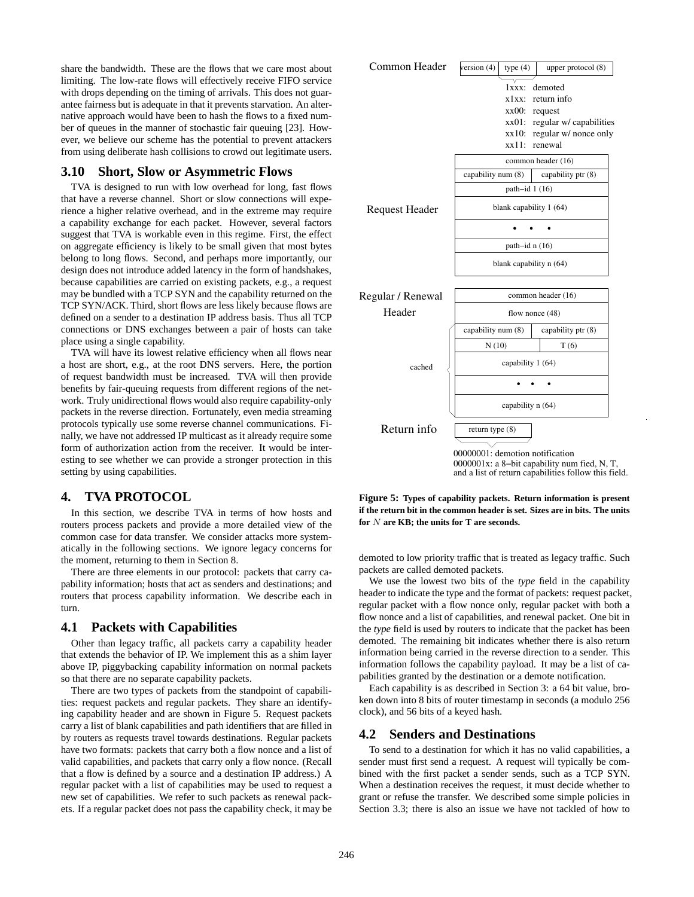share the bandwidth. These are the flows that we care most about limiting. The low-rate flows will effectively receive FIFO service with drops depending on the timing of arrivals. This does not guarantee fairness but is adequate in that it prevents starvation. An alternative approach would have been to hash the flows to a fixed number of queues in the manner of stochastic fair queuing [23]. However, we believe our scheme has the potential to prevent attackers from using deliberate hash collisions to crowd out legitimate users.

### **3.10 Short, Slow or Asymmetric Flows**

TVA is designed to run with low overhead for long, fast flows that have a reverse channel. Short or slow connections will experience a higher relative overhead, and in the extreme may require a capability exchange for each packet. However, several factors suggest that TVA is workable even in this regime. First, the effect on aggregate efficiency is likely to be small given that most bytes belong to long flows. Second, and perhaps more importantly, our design does not introduce added latency in the form of handshakes, because capabilities are carried on existing packets, e.g., a request may be bundled with a TCP SYN and the capability returned on the TCP SYN/ACK. Third, short flows are less likely because flows are defined on a sender to a destination IP address basis. Thus all TCP connections or DNS exchanges between a pair of hosts can take place using a single capability.

TVA will have its lowest relative efficiency when all flows near a host are short, e.g., at the root DNS servers. Here, the portion of request bandwidth must be increased. TVA will then provide benefits by fair-queuing requests from different regions of the network. Truly unidirectional flows would also require capability-only packets in the reverse direction. Fortunately, even media streaming protocols typically use some reverse channel communications. Finally, we have not addressed IP multicast as it already require some form of authorization action from the receiver. It would be interesting to see whether we can provide a stronger protection in this setting by using capabilities.

# **4. TVA PROTOCOL**

In this section, we describe TVA in terms of how hosts and routers process packets and provide a more detailed view of the common case for data transfer. We consider attacks more systematically in the following sections. We ignore legacy concerns for the moment, returning to them in Section 8.

There are three elements in our protocol: packets that carry capability information; hosts that act as senders and destinations; and routers that process capability information. We describe each in turn.

# **4.1 Packets with Capabilities**

Other than legacy traffic, all packets carry a capability header that extends the behavior of IP. We implement this as a shim layer above IP, piggybacking capability information on normal packets so that there are no separate capability packets.

There are two types of packets from the standpoint of capabilities: request packets and regular packets. They share an identifying capability header and are shown in Figure 5. Request packets carry a list of blank capabilities and path identifiers that are filled in by routers as requests travel towards destinations. Regular packets have two formats: packets that carry both a flow nonce and a list of valid capabilities, and packets that carry only a flow nonce. (Recall that a flow is defined by a source and a destination IP address.) A regular packet with a list of capabilities may be used to request a new set of capabilities. We refer to such packets as renewal packets. If a regular packet does not pass the capability check, it may be



**Figure 5: Types of capability packets. Return information is present if the return bit in the common header is set. Sizes are in bits. The units for** N **are KB; the units for T are seconds.**

demoted to low priority traffic that is treated as legacy traffic. Such packets are called demoted packets.

We use the lowest two bits of the *type* field in the capability header to indicate the type and the format of packets: request packet, regular packet with a flow nonce only, regular packet with both a flow nonce and a list of capabilities, and renewal packet. One bit in the *type* field is used by routers to indicate that the packet has been demoted. The remaining bit indicates whether there is also return information being carried in the reverse direction to a sender. This information follows the capability payload. It may be a list of capabilities granted by the destination or a demote notification.

Each capability is as described in Section 3: a 64 bit value, broken down into 8 bits of router timestamp in seconds (a modulo 256 clock), and 56 bits of a keyed hash.

# **4.2 Senders and Destinations**

To send to a destination for which it has no valid capabilities, a sender must first send a request. A request will typically be combined with the first packet a sender sends, such as a TCP SYN. When a destination receives the request, it must decide whether to grant or refuse the transfer. We described some simple policies in Section 3.3; there is also an issue we have not tackled of how to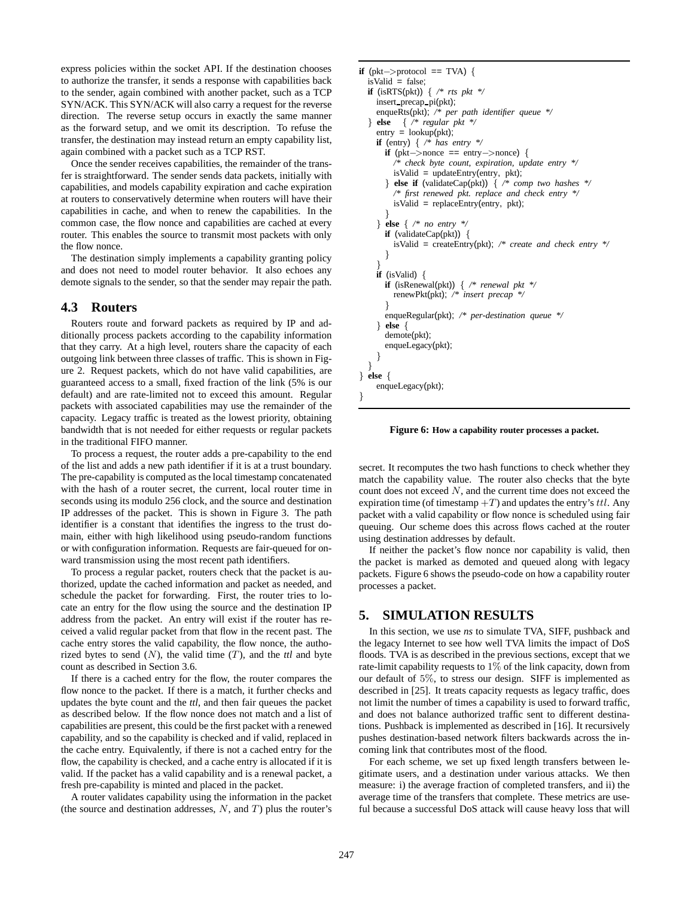express policies within the socket API. If the destination chooses to authorize the transfer, it sends a response with capabilities back to the sender, again combined with another packet, such as a TCP SYN/ACK. This SYN/ACK will also carry a request for the reverse direction. The reverse setup occurs in exactly the same manner as the forward setup, and we omit its description. To refuse the transfer, the destination may instead return an empty capability list, again combined with a packet such as a TCP RST.

Once the sender receives capabilities, the remainder of the transfer is straightforward. The sender sends data packets, initially with capabilities, and models capability expiration and cache expiration at routers to conservatively determine when routers will have their capabilities in cache, and when to renew the capabilities. In the common case, the flow nonce and capabilities are cached at every router. This enables the source to transmit most packets with only the flow nonce.

The destination simply implements a capability granting policy and does not need to model router behavior. It also echoes any demote signals to the sender, so that the sender may repair the path.

### **4.3 Routers**

Routers route and forward packets as required by IP and additionally process packets according to the capability information that they carry. At a high level, routers share the capacity of each outgoing link between three classes of traffic. This is shown in Figure 2. Request packets, which do not have valid capabilities, are guaranteed access to a small, fixed fraction of the link (5% is our default) and are rate-limited not to exceed this amount. Regular packets with associated capabilities may use the remainder of the capacity. Legacy traffic is treated as the lowest priority, obtaining bandwidth that is not needed for either requests or regular packets in the traditional FIFO manner.

To process a request, the router adds a pre-capability to the end of the list and adds a new path identifier if it is at a trust boundary. The pre-capability is computed as the local timestamp concatenated with the hash of a router secret, the current, local router time in seconds using its modulo 256 clock, and the source and destination IP addresses of the packet. This is shown in Figure 3. The path identifier is a constant that identifies the ingress to the trust domain, either with high likelihood using pseudo-random functions or with configuration information. Requests are fair-queued for onward transmission using the most recent path identifiers.

To process a regular packet, routers check that the packet is authorized, update the cached information and packet as needed, and schedule the packet for forwarding. First, the router tries to locate an entry for the flow using the source and the destination IP address from the packet. An entry will exist if the router has received a valid regular packet from that flow in the recent past. The cache entry stores the valid capability, the flow nonce, the authorized bytes to send  $(N)$ , the valid time  $(T)$ , and the *ttl* and byte count as described in Section 3.6.

If there is a cached entry for the flow, the router compares the flow nonce to the packet. If there is a match, it further checks and updates the byte count and the *ttl*, and then fair queues the packet as described below. If the flow nonce does not match and a list of capabilities are present, this could be the first packet with a renewed capability, and so the capability is checked and if valid, replaced in the cache entry. Equivalently, if there is not a cached entry for the flow, the capability is checked, and a cache entry is allocated if it is valid. If the packet has a valid capability and is a renewal packet, a fresh pre-capability is minted and placed in the packet.

A router validates capability using the information in the packet (the source and destination addresses,  $N$ , and  $T$ ) plus the router's

```
if (pkt-\text{>protocol} == TVA) {
  isValid = false;
  if (isRTS(pkt)) { /* rts pkt */
     insert precap pi(pkt);
     enqueRts(pkt); /* per path identifier queue */
  } else { /* regular pkt */
    entry = lookup(pkt);if (entry) { /* has entry */
      if (pkt-\geqnonce == entry-\geqnonce) {
          /* check byte count, expiration, update entry */
         isValid = updateEntry(entry, pkt);
       } else if (validateCap(pkt)) { /* comp two hashes */
         /* first renewed pkt. replace and check entry */
         isValid = replaceEntry(entry, pkt);
       }
     } else { /* no entry */
      if (validateCap(pkt)) {
         isValid = createEntry(pkt); /* create and check entry */
      }
     }
    if (isValid) {
      if (isRenewal(pkt)) { /* renewal pkt */
         renewPkt(pkt); /* insert precap */
       }
      enqueRegular(pkt); /* per-destination queue */
     } else {
      demote(pkt);
      enqueLegacy(pkt);
     }
  }
} else {
    enqueLegacy(pkt);
}
```
**Figure 6: How a capability router processes a packet.**

secret. It recomputes the two hash functions to check whether they match the capability value. The router also checks that the byte count does not exceed  $N$ , and the current time does not exceed the expiration time (of timestamp  $+T$ ) and updates the entry's ttl. Any packet with a valid capability or flow nonce is scheduled using fair queuing. Our scheme does this across flows cached at the router using destination addresses by default.

If neither the packet's flow nonce nor capability is valid, then the packet is marked as demoted and queued along with legacy packets. Figure 6 shows the pseudo-code on how a capability router processes a packet.

### **5. SIMULATION RESULTS**

In this section, we use *ns* to simulate TVA, SIFF, pushback and the legacy Internet to see how well TVA limits the impact of DoS floods. TVA is as described in the previous sections, except that we rate-limit capability requests to 1% of the link capacity, down from our default of 5%, to stress our design. SIFF is implemented as described in [25]. It treats capacity requests as legacy traffic, does not limit the number of times a capability is used to forward traffic, and does not balance authorized traffic sent to different destinations. Pushback is implemented as described in [16]. It recursively pushes destination-based network filters backwards across the incoming link that contributes most of the flood.

For each scheme, we set up fixed length transfers between legitimate users, and a destination under various attacks. We then measure: i) the average fraction of completed transfers, and ii) the average time of the transfers that complete. These metrics are useful because a successful DoS attack will cause heavy loss that will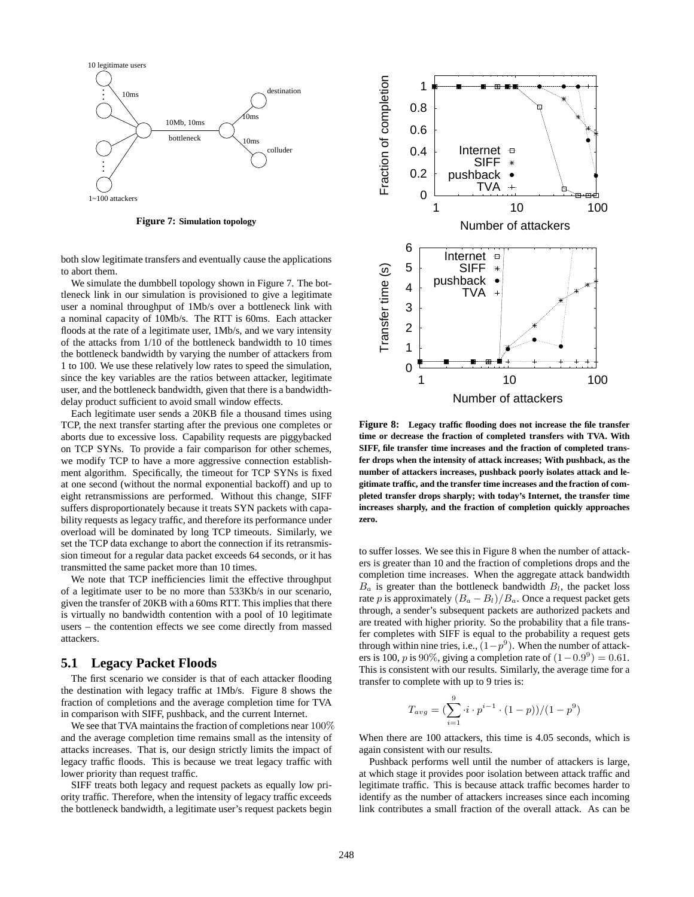

**Figure 7: Simulation topology**

both slow legitimate transfers and eventually cause the applications to abort them.

We simulate the dumbbell topology shown in Figure 7. The bottleneck link in our simulation is provisioned to give a legitimate user a nominal throughput of 1Mb/s over a bottleneck link with a nominal capacity of 10Mb/s. The RTT is 60ms. Each attacker floods at the rate of a legitimate user, 1Mb/s, and we vary intensity of the attacks from 1/10 of the bottleneck bandwidth to 10 times the bottleneck bandwidth by varying the number of attackers from 1 to 100. We use these relatively low rates to speed the simulation, since the key variables are the ratios between attacker, legitimate user, and the bottleneck bandwidth, given that there is a bandwidthdelay product sufficient to avoid small window effects.

Each legitimate user sends a 20KB file a thousand times using TCP, the next transfer starting after the previous one completes or aborts due to excessive loss. Capability requests are piggybacked on TCP SYNs. To provide a fair comparison for other schemes, we modify TCP to have a more aggressive connection establishment algorithm. Specifically, the timeout for TCP SYNs is fixed at one second (without the normal exponential backoff) and up to eight retransmissions are performed. Without this change, SIFF suffers disproportionately because it treats SYN packets with capability requests as legacy traffic, and therefore its performance under overload will be dominated by long TCP timeouts. Similarly, we set the TCP data exchange to abort the connection if its retransmission timeout for a regular data packet exceeds 64 seconds, or it has transmitted the same packet more than 10 times.

We note that TCP inefficiencies limit the effective throughput of a legitimate user to be no more than 533Kb/s in our scenario, given the transfer of 20KB with a 60ms RTT. This implies that there is virtually no bandwidth contention with a pool of 10 legitimate users – the contention effects we see come directly from massed attackers.

#### **5.1 Legacy Packet Floods**

The first scenario we consider is that of each attacker flooding the destination with legacy traffic at 1Mb/s. Figure 8 shows the fraction of completions and the average completion time for TVA in comparison with SIFF, pushback, and the current Internet.

We see that TVA maintains the fraction of completions near 100% and the average completion time remains small as the intensity of attacks increases. That is, our design strictly limits the impact of legacy traffic floods. This is because we treat legacy traffic with lower priority than request traffic.

SIFF treats both legacy and request packets as equally low priority traffic. Therefore, when the intensity of legacy traffic exceeds the bottleneck bandwidth, a legitimate user's request packets begin



**Figure 8: Legacy traffic flooding does not increase the file transfer time or decrease the fraction of completed transfers with TVA. With SIFF, file transfer time increases and the fraction of completed transfer drops when the intensity of attack increases; With pushback, as the number of attackers increases, pushback poorly isolates attack and legitimate traffic, and the transfer time increases and the fraction of completed transfer drops sharply; with today's Internet, the transfer time increases sharply, and the fraction of completion quickly approaches zero.**

to suffer losses. We see this in Figure 8 when the number of attackers is greater than 10 and the fraction of completions drops and the completion time increases. When the aggregate attack bandwidth  $B_a$  is greater than the bottleneck bandwidth  $B_l$ , the packet loss rate p is approximately  $(B_a - B_l)/B_a$ . Once a request packet gets through, a sender's subsequent packets are authorized packets and are treated with higher priority. So the probability that a file transfer completes with SIFF is equal to the probability a request gets through within nine tries, i.e.,  $(1-p^9)$ . When the number of attackers is 100, p is 90%, giving a completion rate of  $(1-0.9^9) = 0.61$ . This is consistent with our results. Similarly, the average time for a transfer to complete with up to 9 tries is:

$$
T_{avg} = (\sum_{i=1}^{9} \cdot i \cdot p^{i-1} \cdot (1-p))/(1-p^{9})
$$

When there are 100 attackers, this time is 4.05 seconds, which is again consistent with our results.

Pushback performs well until the number of attackers is large, at which stage it provides poor isolation between attack traffic and legitimate traffic. This is because attack traffic becomes harder to identify as the number of attackers increases since each incoming link contributes a small fraction of the overall attack. As can be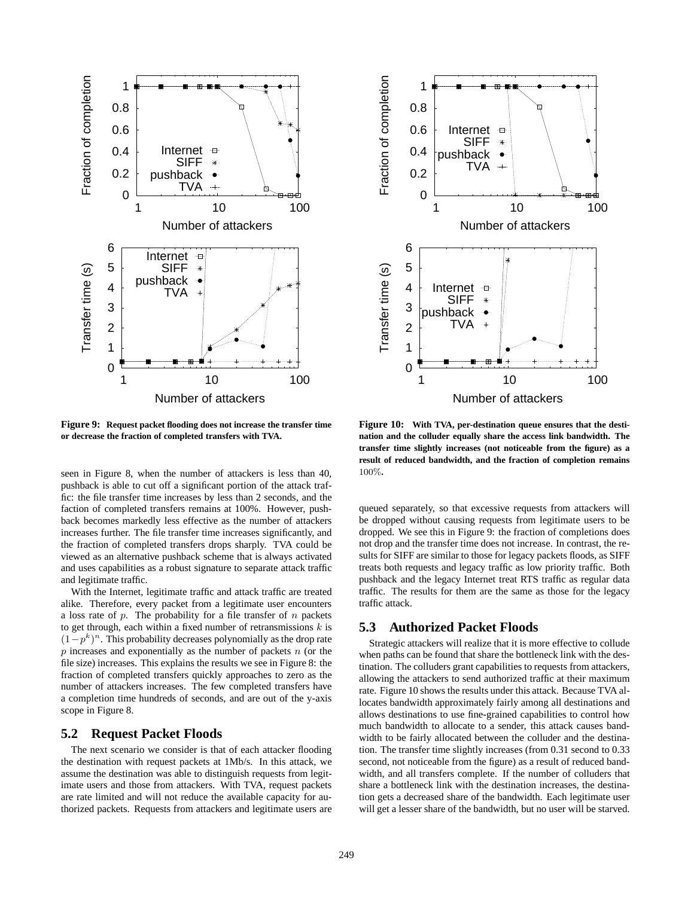

**Figure 9: Request packet flooding does not increase the transfer time or decrease the fraction of completed transfers with TVA.**

seen in Figure 8, when the number of attackers is less than 40, pushback is able to cut off a significant portion of the attack traffic: the file transfer time increases by less than 2 seconds, and the faction of completed transfers remains at 100%. However, pushback becomes markedly less effective as the number of attackers increases further. The file transfer time increases significantly, and the fraction of completed transfers drops sharply. TVA could be viewed as an alternative pushback scheme that is always activated and uses capabilities as a robust signature to separate attack traffic and legitimate traffic.

With the Internet, legitimate traffic and attack traffic are treated alike. Therefore, every packet from a legitimate user encounters a loss rate of  $p$ . The probability for a file transfer of  $n$  packets to get through, each within a fixed number of retransmissions  $k$  is  $(1-p<sup>k</sup>)<sup>n</sup>$ . This probability decreases polynomially as the drop rate  $p$  increases and exponentially as the number of packets  $n$  (or the file size) increases. This explains the results we see in Figure 8: the fraction of completed transfers quickly approaches to zero as the number of attackers increases. The few completed transfers have a completion time hundreds of seconds, and are out of the y-axis scope in Figure 8.

#### **5.2 Request Packet Floods**

The next scenario we consider is that of each attacker flooding the destination with request packets at 1Mb/s. In this attack, we assume the destination was able to distinguish requests from legitimate users and those from attackers. With TVA, request packets are rate limited and will not reduce the available capacity for authorized packets. Requests from attackers and legitimate users are



**Figure 10: With TVA, per-destination queue ensures that the destination and the colluder equally share the access link bandwidth. The transfer time slightly increases (not noticeable from the figure) as a result of reduced bandwidth, and the fraction of completion remains** 100%**.**

queued separately, so that excessive requests from attackers will be dropped without causing requests from legitimate users to be dropped. We see this in Figure 9: the fraction of completions does not drop and the transfer time does not increase. In contrast, the results for SIFF are similar to those for legacy packets floods, as SIFF treats both requests and legacy traffic as low priority traffic. Both pushback and the legacy Internet treat RTS traffic as regular data traffic. The results for them are the same as those for the legacy traffic attack.

# **5.3 Authorized Packet Floods**

Strategic attackers will realize that it is more effective to collude when paths can be found that share the bottleneck link with the destination. The colluders grant capabilities to requests from attackers, allowing the attackers to send authorized traffic at their maximum rate. Figure 10 shows the results under this attack. Because TVA allocates bandwidth approximately fairly among all destinations and allows destinations to use fine-grained capabilities to control how much bandwidth to allocate to a sender, this attack causes bandwidth to be fairly allocated between the colluder and the destination. The transfer time slightly increases (from 0.31 second to 0.33 second, not noticeable from the figure) as a result of reduced bandwidth, and all transfers complete. If the number of colluders that share a bottleneck link with the destination increases, the destination gets a decreased share of the bandwidth. Each legitimate user will get a lesser share of the bandwidth, but no user will be starved.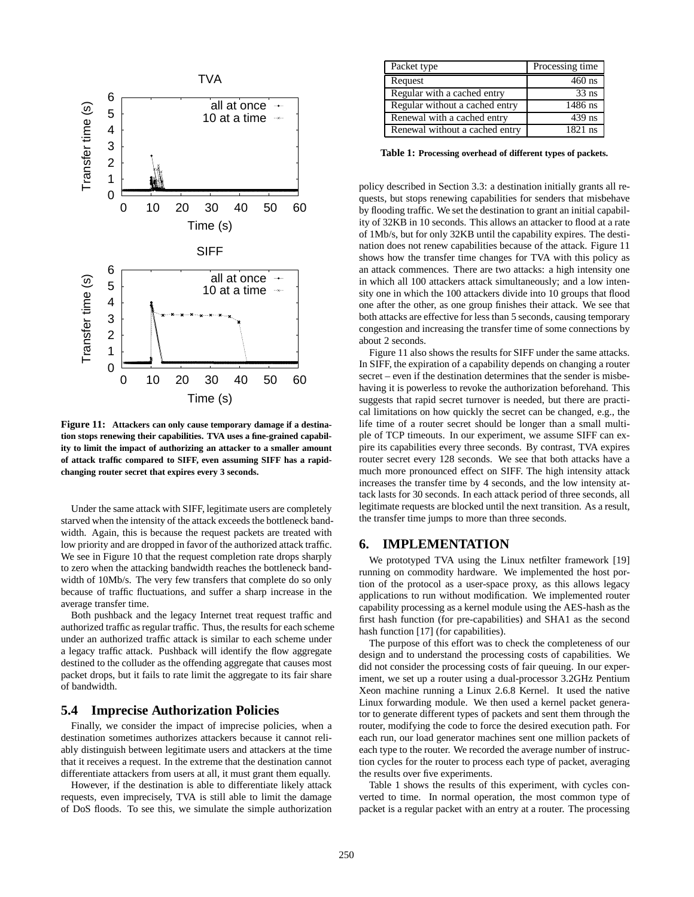

**Figure 11: Attackers can only cause temporary damage if a destination stops renewing their capabilities. TVA uses a fine-grained capability to limit the impact of authorizing an attacker to a smaller amount of attack traffic compared to SIFF, even assuming SIFF has a rapidchanging router secret that expires every 3 seconds.**

Under the same attack with SIFF, legitimate users are completely starved when the intensity of the attack exceeds the bottleneck bandwidth. Again, this is because the request packets are treated with low priority and are dropped in favor of the authorized attack traffic. We see in Figure 10 that the request completion rate drops sharply to zero when the attacking bandwidth reaches the bottleneck bandwidth of 10Mb/s. The very few transfers that complete do so only because of traffic fluctuations, and suffer a sharp increase in the average transfer time.

Both pushback and the legacy Internet treat request traffic and authorized traffic as regular traffic. Thus, the results for each scheme under an authorized traffic attack is similar to each scheme under a legacy traffic attack. Pushback will identify the flow aggregate destined to the colluder as the offending aggregate that causes most packet drops, but it fails to rate limit the aggregate to its fair share of bandwidth.

### **5.4 Imprecise Authorization Policies**

Finally, we consider the impact of imprecise policies, when a destination sometimes authorizes attackers because it cannot reliably distinguish between legitimate users and attackers at the time that it receives a request. In the extreme that the destination cannot differentiate attackers from users at all, it must grant them equally.

However, if the destination is able to differentiate likely attack requests, even imprecisely, TVA is still able to limit the damage of DoS floods. To see this, we simulate the simple authorization

| Packet type                    | Processing time |
|--------------------------------|-----------------|
| Request                        | $460$ ns        |
| Regular with a cached entry    | $33$ ns         |
| Regular without a cached entry | 1486 ns         |
| Renewal with a cached entry    | 439 ns          |
| Renewal without a cached entry | $1821$ ns       |

**Table 1: Processing overhead of different types of packets.**

policy described in Section 3.3: a destination initially grants all requests, but stops renewing capabilities for senders that misbehave by flooding traffic. We set the destination to grant an initial capability of 32KB in 10 seconds. This allows an attacker to flood at a rate of 1Mb/s, but for only 32KB until the capability expires. The destination does not renew capabilities because of the attack. Figure 11 shows how the transfer time changes for TVA with this policy as an attack commences. There are two attacks: a high intensity one in which all 100 attackers attack simultaneously; and a low intensity one in which the 100 attackers divide into 10 groups that flood one after the other, as one group finishes their attack. We see that both attacks are effective for less than 5 seconds, causing temporary congestion and increasing the transfer time of some connections by about 2 seconds.

Figure 11 also shows the results for SIFF under the same attacks. In SIFF, the expiration of a capability depends on changing a router secret – even if the destination determines that the sender is misbehaving it is powerless to revoke the authorization beforehand. This suggests that rapid secret turnover is needed, but there are practical limitations on how quickly the secret can be changed, e.g., the life time of a router secret should be longer than a small multiple of TCP timeouts. In our experiment, we assume SIFF can expire its capabilities every three seconds. By contrast, TVA expires router secret every 128 seconds. We see that both attacks have a much more pronounced effect on SIFF. The high intensity attack increases the transfer time by 4 seconds, and the low intensity attack lasts for 30 seconds. In each attack period of three seconds, all legitimate requests are blocked until the next transition. As a result, the transfer time jumps to more than three seconds.

# **6. IMPLEMENTATION**

We prototyped TVA using the Linux netfilter framework [19] running on commodity hardware. We implemented the host portion of the protocol as a user-space proxy, as this allows legacy applications to run without modification. We implemented router capability processing as a kernel module using the AES-hash as the first hash function (for pre-capabilities) and SHA1 as the second hash function [17] (for capabilities).

The purpose of this effort was to check the completeness of our design and to understand the processing costs of capabilities. We did not consider the processing costs of fair queuing. In our experiment, we set up a router using a dual-processor 3.2GHz Pentium Xeon machine running a Linux 2.6.8 Kernel. It used the native Linux forwarding module. We then used a kernel packet generator to generate different types of packets and sent them through the router, modifying the code to force the desired execution path. For each run, our load generator machines sent one million packets of each type to the router. We recorded the average number of instruction cycles for the router to process each type of packet, averaging the results over five experiments.

Table 1 shows the results of this experiment, with cycles converted to time. In normal operation, the most common type of packet is a regular packet with an entry at a router. The processing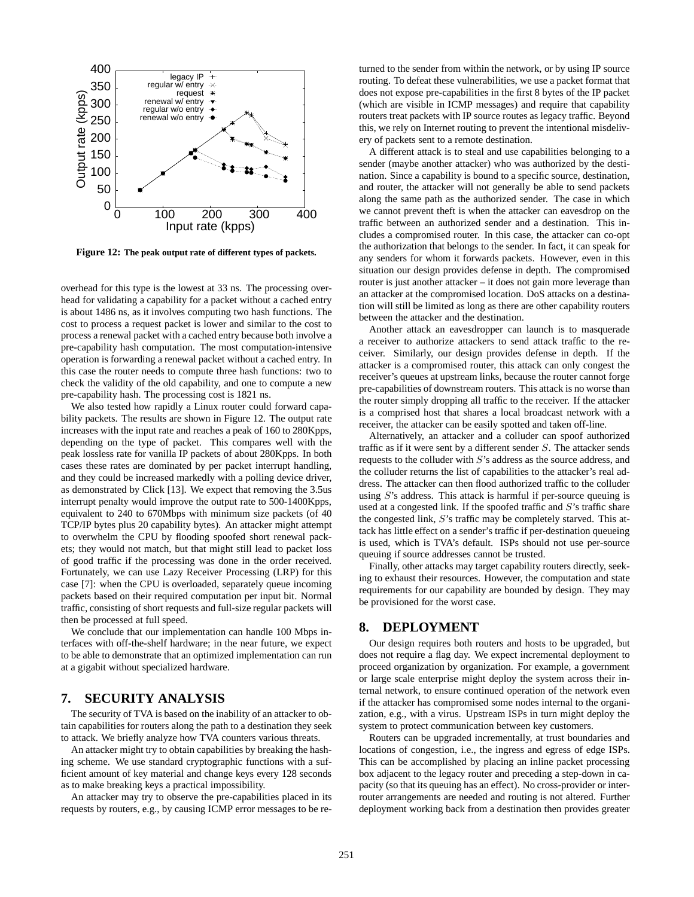

**Figure 12: The peak output rate of different types of packets.**

overhead for this type is the lowest at 33 ns. The processing overhead for validating a capability for a packet without a cached entry is about 1486 ns, as it involves computing two hash functions. The cost to process a request packet is lower and similar to the cost to process a renewal packet with a cached entry because both involve a pre-capability hash computation. The most computation-intensive operation is forwarding a renewal packet without a cached entry. In this case the router needs to compute three hash functions: two to check the validity of the old capability, and one to compute a new pre-capability hash. The processing cost is 1821 ns.

We also tested how rapidly a Linux router could forward capability packets. The results are shown in Figure 12. The output rate increases with the input rate and reaches a peak of 160 to 280Kpps, depending on the type of packet. This compares well with the peak lossless rate for vanilla IP packets of about 280Kpps. In both cases these rates are dominated by per packet interrupt handling, and they could be increased markedly with a polling device driver, as demonstrated by Click [13]. We expect that removing the 3.5us interrupt penalty would improve the output rate to 500-1400Kpps, equivalent to 240 to 670Mbps with minimum size packets (of 40 TCP/IP bytes plus 20 capability bytes). An attacker might attempt to overwhelm the CPU by flooding spoofed short renewal packets; they would not match, but that might still lead to packet loss of good traffic if the processing was done in the order received. Fortunately, we can use Lazy Receiver Processing (LRP) for this case [7]: when the CPU is overloaded, separately queue incoming packets based on their required computation per input bit. Normal traffic, consisting of short requests and full-size regular packets will then be processed at full speed.

We conclude that our implementation can handle 100 Mbps interfaces with off-the-shelf hardware; in the near future, we expect to be able to demonstrate that an optimized implementation can run at a gigabit without specialized hardware.

# **7. SECURITY ANALYSIS**

The security of TVA is based on the inability of an attacker to obtain capabilities for routers along the path to a destination they seek to attack. We briefly analyze how TVA counters various threats.

An attacker might try to obtain capabilities by breaking the hashing scheme. We use standard cryptographic functions with a sufficient amount of key material and change keys every 128 seconds as to make breaking keys a practical impossibility.

An attacker may try to observe the pre-capabilities placed in its requests by routers, e.g., by causing ICMP error messages to be returned to the sender from within the network, or by using IP source routing. To defeat these vulnerabilities, we use a packet format that does not expose pre-capabilities in the first 8 bytes of the IP packet (which are visible in ICMP messages) and require that capability routers treat packets with IP source routes as legacy traffic. Beyond this, we rely on Internet routing to prevent the intentional misdelivery of packets sent to a remote destination.

A different attack is to steal and use capabilities belonging to a sender (maybe another attacker) who was authorized by the destination. Since a capability is bound to a specific source, destination, and router, the attacker will not generally be able to send packets along the same path as the authorized sender. The case in which we cannot prevent theft is when the attacker can eavesdrop on the traffic between an authorized sender and a destination. This includes a compromised router. In this case, the attacker can co-opt the authorization that belongs to the sender. In fact, it can speak for any senders for whom it forwards packets. However, even in this situation our design provides defense in depth. The compromised router is just another attacker – it does not gain more leverage than an attacker at the compromised location. DoS attacks on a destination will still be limited as long as there are other capability routers between the attacker and the destination.

Another attack an eavesdropper can launch is to masquerade a receiver to authorize attackers to send attack traffic to the receiver. Similarly, our design provides defense in depth. If the attacker is a compromised router, this attack can only congest the receiver's queues at upstream links, because the router cannot forge pre-capabilities of downstream routers. This attack is no worse than the router simply dropping all traffic to the receiver. If the attacker is a comprised host that shares a local broadcast network with a receiver, the attacker can be easily spotted and taken off-line.

Alternatively, an attacker and a colluder can spoof authorized traffic as if it were sent by a different sender  $S$ . The attacker sends requests to the colluder with S's address as the source address, and the colluder returns the list of capabilities to the attacker's real address. The attacker can then flood authorized traffic to the colluder using S's address. This attack is harmful if per-source queuing is used at a congested link. If the spoofed traffic and  $S$ 's traffic share the congested link, S's traffic may be completely starved. This attack has little effect on a sender's traffic if per-destination queueing is used, which is TVA's default. ISPs should not use per-source queuing if source addresses cannot be trusted.

Finally, other attacks may target capability routers directly, seeking to exhaust their resources. However, the computation and state requirements for our capability are bounded by design. They may be provisioned for the worst case.

### **8. DEPLOYMENT**

Our design requires both routers and hosts to be upgraded, but does not require a flag day. We expect incremental deployment to proceed organization by organization. For example, a government or large scale enterprise might deploy the system across their internal network, to ensure continued operation of the network even if the attacker has compromised some nodes internal to the organization, e.g., with a virus. Upstream ISPs in turn might deploy the system to protect communication between key customers.

Routers can be upgraded incrementally, at trust boundaries and locations of congestion, i.e., the ingress and egress of edge ISPs. This can be accomplished by placing an inline packet processing box adjacent to the legacy router and preceding a step-down in capacity (so that its queuing has an effect). No cross-provider or interrouter arrangements are needed and routing is not altered. Further deployment working back from a destination then provides greater